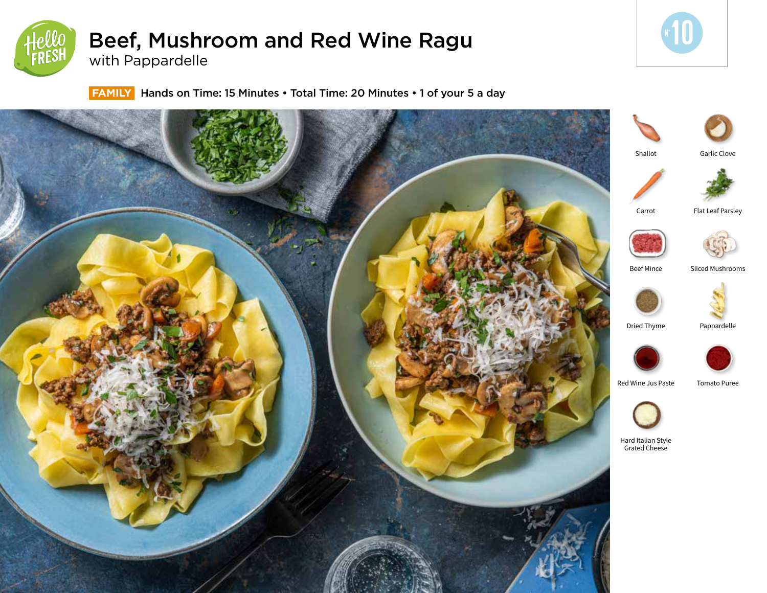

# Beef, Mushroom and Red Wine Ragu with Pappardelle



 **FAMILY** Hands on Time: 15 Minutes • Total Time: 20 Minutes • 1 of your 5 a day